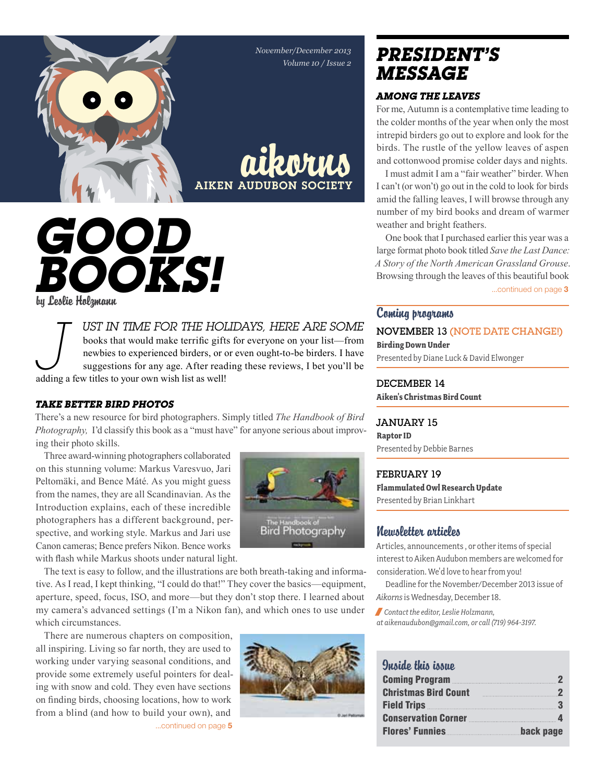*November/December 2013 Volume 10 / Issue 2*

aikorns **AIKEN AUDUBON SOCIET** 

# *Good Books!* by Leslie Holzmann

*J ust in time for the holidays, here are some*  books that would make terrific gifts for everyone on your list—from newbies to experienced birders, or or even ought-to-be birders. I have suggestions for any age. After reading these reviews, I bet you'll be adding a few titles to your own wish list as well!

#### *Take Better Bird Photos*

There's a new resource for bird photographers. Simply titled *The Handbook of Bird Photography,* I'd classify this book as a "must have" for anyone serious about improving their photo skills.

Three award-winning photographers collaborated on this stunning volume: Markus Varesvuo, Jari Peltomäki, and Bence Máté. As you might guess from the names, they are all Scandinavian. As the Introduction explains, each of these incredible photographers has a different background, perspective, and working style. Markus and Jari use Canon cameras; Bence prefers Nikon. Bence works with flash while Markus shoots under natural light.

The text is easy to follow, and the illustrations are both breath-taking and informative. As I read, I kept thinking, "I could do that!" They cover the basics—equipment, aperture, speed, focus, ISO, and more—but they don't stop there. I learned about my camera's advanced settings (I'm a Nikon fan), and which ones to use under which circumstances.

...continued on page 5 There are numerous chapters on composition, all inspiring. Living so far north, they are used to working under varying seasonal conditions, and provide some extremely useful pointers for dealing with snow and cold. They even have sections on finding birds, choosing locations, how to work from a blind (and how to build your own), and



# *president's message*

#### *Among the leaves*

For me, Autumn is a contemplative time leading to the colder months of the year when only the most intrepid birders go out to explore and look for the birds. The rustle of the yellow leaves of aspen and cottonwood promise colder days and nights.

I must admit I am a "fair weather" birder. When I can't (or won't) go out in the cold to look for birds amid the falling leaves, I will browse through any number of my bird books and dream of warmer weather and bright feathers.

One book that I purchased earlier this year was a large format photo book titled *Save the Last Dance: A Story of the North American Grassland Grouse*. Browsing through the leaves of this beautiful book

...continued on page 3

### Coming programs

November 13 (note date change!) **Birding Down Under**

Presented by Diane Luck & David Elwonger

DECEMBER 14 **Aiken's Christmas Bird Count**

#### JANUARY 15

**Raptor ID** Presented by Debbie Barnes

February 19 **Flammulated Owl Research Update** Presented by Brian Linkhart

# Newsletter articles

Articles, announcements , or other items of special interest to Aiken Audubon members are welcomed for consideration. We'd love to hear from you!

Deadline for the November/December 2013 issue of *Aikorns* is Wednesday, December 18.

/ *Contact the editor, Leslie Holzmann, at aikenaudubon@gmail.com, or call (719) 964-3197.*

## Quaido this issuo

| Coming Program 22            |                |
|------------------------------|----------------|
| <b>Christmas Bird Count</b>  | $\overline{2}$ |
|                              |                |
| <b>Conservation Corner</b> 4 |                |
| Flores' Funnies              | back page      |

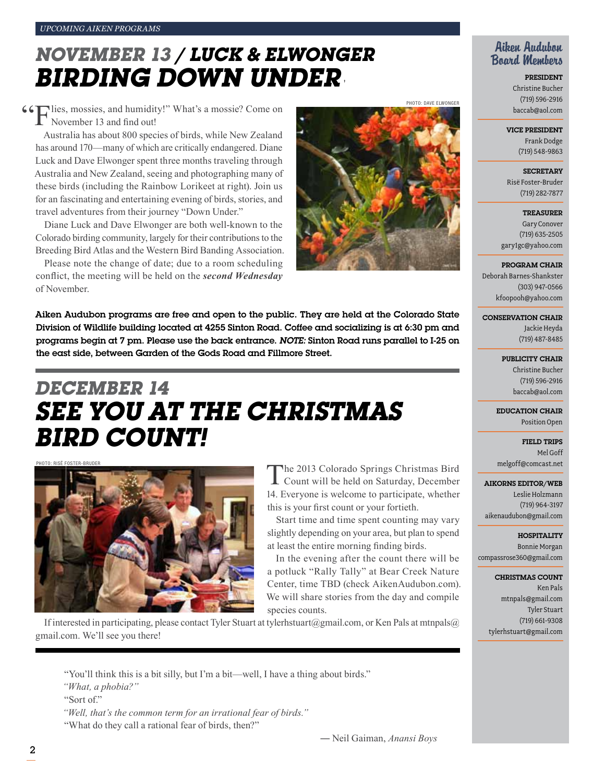# *NOVember 13 / Luck & Elwonger Birding down under* '

**66** Flies, mossies, and humidity!" What's a mossie? Come on November 13 and find out! November 13 and find out!

Australia has about 800 species of birds, while New Zealand has around 170—many of which are critically endangered. Diane Luck and Dave Elwonger spent three months traveling through Australia and New Zealand, seeing and photographing many of these birds (including the Rainbow Lorikeet at right). Join us for an fascinating and entertaining evening of birds, stories, and travel adventures from their journey "Down Under."

Diane Luck and Dave Elwonger are both well-known to the Colorado birding community, largely for their contributions to the Breeding Bird Atlas and the Western Bird Banding Association.

Please note the change of date; due to a room scheduling conflict, the meeting will be held on the *second Wednesday* of November.

Aiken Audubon programs are free and open to the public. They are held at the Colorado State Division of Wildlife building located at 4255 Sinton Road. Coffee and socializing is at 6:30 pm and programs begin at 7 pm. Please use the back entrance. *Note:* Sinton Road runs parallel to I-25 on the east side, between Garden of the Gods Road and Fillmore Street.

# *December 14 See You at the Christmas Bird Count!*



The 2013 Colorado Springs Christmas Bird<br>Count will be held on Saturday, December 14. Everyone is welcome to participate, whether this is your first count or your fortieth.

Start time and time spent counting may vary slightly depending on your area, but plan to spend at least the entire morning finding birds.

In the evening after the count there will be a potluck "Rally Tally" at Bear Creek Nature Center, time TBD (check AikenAudubon.com). We will share stories from the day and compile species counts.

If interested in participating, please contact Tyler Stuart at tylerhstuart@gmail.com, or Ken Pals at mtnpals@ gmail.com. We'll see you there!

"You'll think this is a bit silly, but I'm a bit—well, I have a thing about birds."

*"Well, that's the common term for an irrational fear of birds."*

"What do they call a rational fear of birds, then?"

## Aiken Audubon Board Members

President Christine Bucher (719) 596-2916 baccab@aol.com

#### Vice President

Frank Dodge (719) 548-9863

**SECRETARY** Risë Foster-Bruder (719) 282-7877

> **TREASURER** Gary Conover

(719) 635-2505 gary1gc@yahoo.com

Program Chair Deborah Barnes-Shankster

> (303) 947-0566 kfoopooh@yahoo.com

#### Conservation Chair

Jackie Heyda (719) 487-8485

#### PUBLICITY CHAIR

Christine Bucher (719) 596-2916 baccab@aol.com

Education Chair Position Open

Field Trips Mel Goff melgoff@comcast.net

#### Aikorns Editor/Web

Leslie Holzmann (719) 964-3197 aikenaudubon@gmail.com

**HOSPITALITY** 

Bonnie Morgan compassrose360@gmail.com

#### Christmas Count

Ken Pals mtnpals@gmail.com Tyler Stuart (719) 661-9308 tylerhstuart@gmail.com



*<sup>&</sup>quot;What, a phobia?"*

<sup>&</sup>quot;Sort of."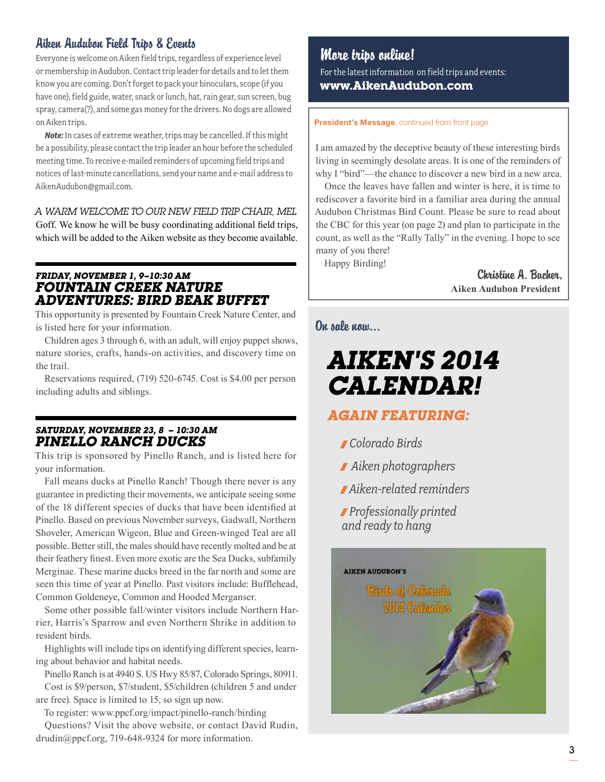## Aiken Audubon Field Trips & Events

Everyone is welcome on Aiken field trips, regardless of experience level or membership in Audubon. Contact trip leader for details and to let them know you are coming. Don't forget to pack your binoculars, scope (if you have one), field guide, water, snack or lunch, hat, rain gear, sun screen, bug spray, camera(?), and some gas money for the drivers. No dogs are allowed on Aiken trips.

*Note:* In cases of extreme weather, trips may be cancelled. If this might be a possibility, please contact the trip leader an hour before the scheduled meeting time. To receive e-mailed reminders of upcoming field trips and notices of last-minute cancellations, send your name and e-mail address to AikenAudubon@gmail.com.

*A WArm Welcome to our new Field Trip Chair, Mel*  Goff. We know he will be busy coordinating additional field trips, which will be added to the Aiken website as they become available.

### *Friday, November 1, 9–10:30 am Fountain Creek Nature Adventures: Bird Beak Buffet*

This opportunity is presented by Fountain Creek Nature Center, and is listed here for your information.

Children ages 3 through 6, with an adult, will enjoy puppet shows, nature stories, crafts, hands-on activities, and discovery time on the trail.

Reservations required, (719) 520-6745. Cost is \$4.00 per person including adults and siblings.

#### *Saturday, November 23, 8 – 10:30 am Pinello Ranch Ducks*

This trip is sponsored by Pinello Ranch, and is listed here for your information.

Fall means ducks at Pinello Ranch! Though there never is any guarantee in predicting their movements, we anticipate seeing some of the 18 different species of ducks that have been identified at Pinello. Based on previous November surveys, Gadwall, Northern Shoveler, American Wigeon, Blue and Green-winged Teal are all possible. Better still, the males should have recently molted and be at their feathery finest. Even more exotic are the Sea Ducks, subfamily Merginae. These marine ducks breed in the far north and some are seen this time of year at Pinello. Past visitors include: Bufflehead, Common Goldeneye, Common and Hooded Merganser.

Some other possible fall/winter visitors include Northern Harrier, Harris's Sparrow and even Northern Shrike in addition to resident birds.

Highlights will include tips on identifying different species, learning about behavior and habitat needs.

Pinello Ranch is at 4940 S. US Hwy 85/87, Colorado Springs, 80911.

Cost is \$9/person, \$7/student, \$5/children (children 5 and under are free). Space is limited to 15, so sign up now.

To register: www.ppcf.org/impact/pinello-ranch/birding Questions? Visit the above website, or contact David Rudin, drudin@ppcf.org, 719-648-9324 for more information.

## More trips online!

For the latest information on field trips and events: **www.AikenAudubon.com**

#### President's Message, continued from front page

I am amazed by the deceptive beauty of these interesting birds living in seemingly desolate areas. It is one of the reminders of why I "bird"—the chance to discover a new bird in a new area.

Once the leaves have fallen and winter is here, it is time to rediscover a favorite bird in a familiar area during the annual Audubon Christmas Bird Count. Please be sure to read about the CBC for this year (on page 2) and plan to participate in the count, as well as the "Rally Tally" in the evening. I hope to see many of you there!

Happy Birding!

Christine A. Bucher, **Aiken Audubon President**

On sale now…

# *Aiken's 2014 Calendar!*

## *again Featuring:*

- / *Colorado Birds*
- / *Aiken photographers*
- / *Aiken-related reminders*
- /*Professionally printed and ready to hang*

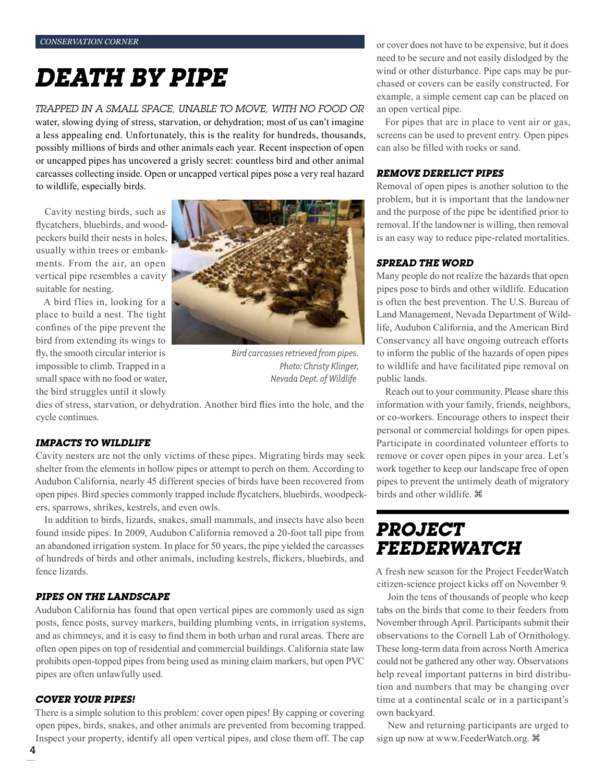# *Death by Pipe*

#### *Trapped in a small space, unable to move, with no food or*

water, slowing dying of stress, starvation, or dehydration; most of us can't imagine a less appealing end. Unfortunately, this is the reality for hundreds, thousands, possibly millions of birds and other animals each year. Recent inspection of open or uncapped pipes has uncovered a grisly secret: countless bird and other animal carcasses collecting inside. Open or uncapped vertical pipes pose a very real hazard to wildlife, especially birds.

Cavity nesting birds, such as flycatchers, bluebirds, and woodpeckers build their nests in holes, usually within trees or embankments. From the air, an open vertical pipe resembles a cavity suitable for nesting.

A bird flies in, looking for a place to build a nest. The tight confines of the pipe prevent the bird from extending its wings to fly, the smooth circular interior is impossible to climb. Trapped in a small space with no food or water, the bird struggles until it slowly



*Bird carcasses retrieved from pipes. Photo: Christy Klinger, Nevada Dept. of Wildlife*

dies of stress, starvation, or dehydration. Another bird flies into the hole, and the cycle continues.

#### *Impacts to Wildlife*

Cavity nesters are not the only victims of these pipes. Migrating birds may seek shelter from the elements in hollow pipes or attempt to perch on them. According to Audubon California, nearly 45 different species of birds have been recovered from open pipes. Bird species commonly trapped include flycatchers, bluebirds, woodpeckers, sparrows, shrikes, kestrels, and even owls.

In addition to birds, lizards, snakes, small mammals, and insects have also been found inside pipes. In 2009, Audubon California removed a 20-foot tall pipe from an abandoned irrigation system. In place for 50 years, the pipe yielded the carcasses of hundreds of birds and other animals, including kestrels, flickers, bluebirds, and fence lizards.

#### *Pipes on the Landscape*

Audubon California has found that open vertical pipes are commonly used as sign posts, fence posts, survey markers, building plumbing vents, in irrigation systems, and as chimneys, and it is easy to find them in both urban and rural areas. There are often open pipes on top of residential and commercial buildings. California state law prohibits open-topped pipes from being used as mining claim markers, but open PVC pipes are often unlawfully used.

#### *Cover Your Pipes!*

There is a simple solution to this problem: cover open pipes! By capping or covering open pipes, birds, snakes, and other animals are prevented from becoming trapped. Inspect your property, identify all open vertical pipes, and close them off. The cap

or cover does not have to be expensive, but it does need to be secure and not easily dislodged by the wind or other disturbance. Pipe caps may be purchased or covers can be easily constructed. For example, a simple cement cap can be placed on an open vertical pipe.

For pipes that are in place to vent air or gas, screens can be used to prevent entry. Open pipes can also be filled with rocks or sand.

#### *Remove Derelict Pipes*

Removal of open pipes is another solution to the problem, but it is important that the landowner and the purpose of the pipe be identified prior to removal. If the landowner is willing, then removal is an easy way to reduce pipe-related mortalities.

#### *Spread the Word*

Many people do not realize the hazards that open pipes pose to birds and other wildlife. Education is often the best prevention. The U.S. Bureau of Land Management, Nevada Department of Wildlife, Audubon California, and the American Bird Conservancy all have ongoing outreach efforts to inform the public of the hazards of open pipes to wildlife and have facilitated pipe removal on public lands.

Reach out to your community. Please share this information with your family, friends, neighbors, or co-workers. Encourage others to inspect their personal or commercial holdings for open pipes. Participate in coordinated volunteer efforts to remove or cover open pipes in your area. Let's work together to keep our landscape free of open pipes to prevent the untimely death of migratory birds and other wildlife.

# *Project FeederWatch*

A fresh new season for the Project FeederWatch citizen-science project kicks off on November 9.

 Join the tens of thousands of people who keep tabs on the birds that come to their feeders from November through April. Participants submit their observations to the Cornell Lab of Ornithology. These long-term data from across North America could not be gathered any other way. Observations help reveal important patterns in bird distribution and numbers that may be changing over time at a continental scale or in a participant's own backyard.

 New and returning participants are urged to sign up now at www.FeederWatch.org.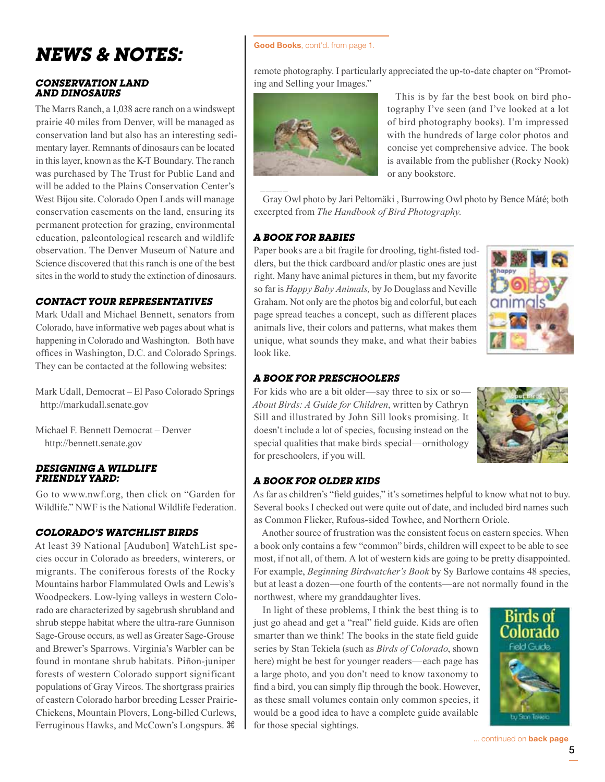# *News & Notes:*

#### *Conservation Land and Dinosaurs*

The Marrs Ranch, a 1,038 acre ranch on a windswept prairie 40 miles from Denver, will be managed as conservation land but also has an interesting sedimentary layer. Remnants of dinosaurs can be located in this layer, known as the K-T Boundary. The ranch was purchased by The Trust for Public Land and will be added to the Plains Conservation Center's West Bijou site. Colorado Open Lands will manage conservation easements on the land, ensuring its permanent protection for grazing, environmental education, paleontological research and wildlife observation. The Denver Museum of Nature and Science discovered that this ranch is one of the best sites in the world to study the extinction of dinosaurs.

#### *Contact your representatives*

Mark Udall and Michael Bennett, senators from Colorado, have informative web pages about what is happening in Colorado and Washington. Both have offices in Washington, D.C. and Colorado Springs. They can be contacted at the following websites:

Mark Udall, Democrat – El Paso Colorado Springs http://markudall.senate.gov

Michael F. Bennett Democrat – Denver http://bennett.senate.gov

#### *Designing a Wildlife Friendly Yard:*

Go to www.nwf.org, then click on "Garden for Wildlife." NWF is the National Wildlife Federation.

#### *Colorado's WatchList Birds*

At least 39 National [Audubon] WatchList species occur in Colorado as breeders, winterers, or migrants. The coniferous forests of the Rocky Mountains harbor Flammulated Owls and Lewis's Woodpeckers. Low-lying valleys in western Colorado are characterized by sagebrush shrubland and shrub steppe habitat where the ultra-rare Gunnison Sage-Grouse occurs, as well as Greater Sage-Grouse and Brewer's Sparrows. Virginia's Warbler can be found in montane shrub habitats. Piñon-juniper forests of western Colorado support significant populations of Gray Vireos. The shortgrass prairies of eastern Colorado harbor breeding Lesser Prairie-Chickens, Mountain Plovers, Long-billed Curlews, Ferruginous Hawks, and McCown's Longspurs.

#### Good Books, cont'd. from page 1.

remote photography. I particularly appreciated the up-to-date chapter on "Promoting and Selling your Images."



This is by far the best book on bird photography I've seen (and I've looked at a lot of bird photography books). I'm impressed with the hundreds of large color photos and concise yet comprehensive advice. The book is available from the publisher (Rocky Nook) or any bookstore.

Gray Owl photo by Jari Peltomäki , Burrowing Owl photo by Bence Máté; both excerpted from *The Handbook of Bird Photography.*

#### *A Book for Babies*

Paper books are a bit fragile for drooling, tight-fisted toddlers, but the thick cardboard and/or plastic ones are just right. Many have animal pictures in them, but my favorite so far is *Happy Baby Animals,* by Jo Douglass and Neville Graham. Not only are the photos big and colorful, but each page spread teaches a concept, such as different places animals live, their colors and patterns, what makes them unique, what sounds they make, and what their babies look like.



### *A Book for Preschoolers*

For kids who are a bit older—say three to six or so— *About Birds: A Guide for Children*, written by Cathryn Sill and illustrated by John Sill looks promising. It doesn't include a lot of species, focusing instead on the special qualities that make birds special—ornithology for preschoolers, if you will.



### *A Book for Older Kids*

As far as children's "field guides," it's sometimes helpful to know what not to buy. Several books I checked out were quite out of date, and included bird names such as Common Flicker, Rufous-sided Towhee, and Northern Oriole.

Another source of frustration was the consistent focus on eastern species. When a book only contains a few "common" birds, children will expect to be able to see most, if not all, of them. A lot of western kids are going to be pretty disappointed. For example, *Beginning Birdwatcher's Book* by Sy Barlowe contains 48 species, but at least a dozen—one fourth of the contents—are not normally found in the northwest, where my granddaughter lives.

In light of these problems, I think the best thing is to just go ahead and get a "real" field guide. Kids are often smarter than we think! The books in the state field guide series by Stan Tekiela (such as *Birds of Colorado*, shown here) might be best for younger readers—each page has a large photo, and you don't need to know taxonomy to find a bird, you can simply flip through the book. However, as these small volumes contain only common species, it would be a good idea to have a complete guide available for those special sightings.